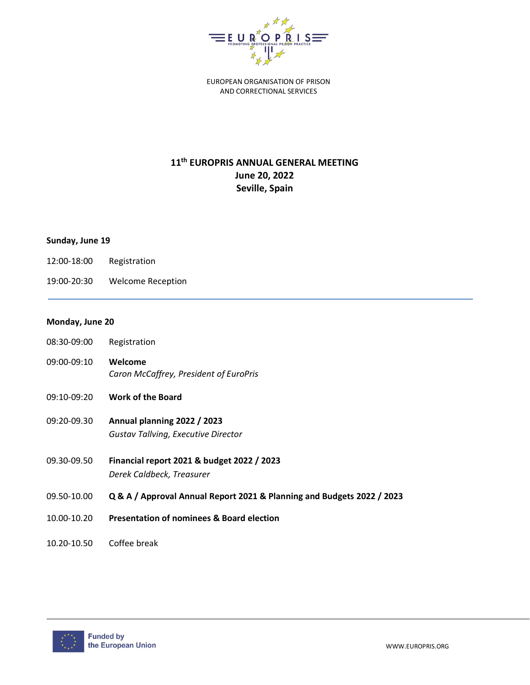

EUROPEAN ORGANISATION OF PRISON AND CORRECTIONAL SERVICES

## **11th EUROPRIS ANNUAL GENERAL MEETING June 20, 2022 Seville, Spain**

## **Sunday, June 19**

- 12:00-18:00 Registration
- 19:00-20:30 Welcome Reception

## **Monday, June 20**

- 08:30-09:00 Registration
- 09:00-09:10 **Welcome** *Caron McCaffrey, President of EuroPris*
- 09:10-09:20 **Work of the Board**
- 09:20-09.30 **Annual planning 2022 / 2023** *Gustav Tallving, Executive Director*
- 09.30-09.50 **Financial report 2021 & budget 2022 / 2023** *Derek Caldbeck, Treasurer*
- 09.50-10.00 **Q & A / Approval Annual Report 2021 & Planning and Budgets 2022 / 2023**
- 10.00-10.20 **Presentation of nominees & Board election**
- 10.20-10.50 Coffee break